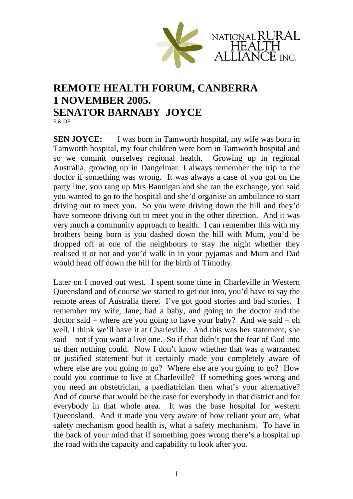

## **REMOTE HEALTH FORUM, CANBERRA 1 NOVEMBER 2005. SENATOR BARNABY JOYCE**  E & OE

\_\_\_\_\_\_\_\_\_\_\_\_\_\_\_\_\_\_\_\_\_\_\_\_\_\_\_\_\_\_\_\_\_\_\_\_\_\_\_\_\_\_\_\_\_\_\_\_\_\_\_\_\_\_\_\_\_\_\_ **SEN JOYCE:** I was born in Tamworth hospital, my wife was born in Tamworth hospital, my four children were born in Tamworth hospital and so we commit ourselves regional health. Growing up in regional Australia, growing up in Dangelmar. I always remember the trip to the doctor if something was wrong. It was always a case of you got on the party line, you rang up Mrs Bannigan and she ran the exchange, you said you wanted to go to the hospital and she'd organise an ambulance to start driving out to meet you. So you were driving down the hill and they'd have someone driving out to meet you in the other direction. And it was very much a community approach to health. I can remember this with my brothers being born is you dashed down the hill with Mum, you'd be dropped off at one of the neighbours to stay the night whether they realised it or not and you'd walk in in your pyjamas and Mum and Dad would head off down the hill for the birth of Timothy.

Later on I moved out west. I spent some time in Charleville in Western Queensland and of course we started to get out into, you'd have to say the remote areas of Australia there. I've got good stories and bad stories. I remember my wife, Jane, had a baby, and going to the doctor and the doctor said – where are you going to have your baby? And we said – oh well, I think we'll have it at Charleville. And this was her statement, she said – not if you want a live one. So if that didn't put the fear of God into us then nothing could. Now I don't know whether that was a warranted or justified statement but it certainly made you completely aware of where else are you going to go? Where else are you going to go? How could you continue to live at Charleville? If something goes wrong and you need an obstetrician, a paediatrician then what's your alternative? And of course that would be the case for everybody in that district and for everybody in that whole area. It was the base hospital for western Queensland. And it made you very aware of how reliant your are, what safety mechanism good health is, what a safety mechanism. To have in the back of your mind that if something goes wrong there's a hospital up the road with the capacity and capability to look after you.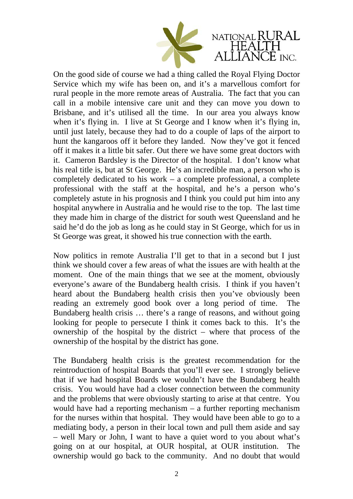

On the good side of course we had a thing called the Royal Flying Doctor Service which my wife has been on, and it's a marvellous comfort for rural people in the more remote areas of Australia. The fact that you can call in a mobile intensive care unit and they can move you down to Brisbane, and it's utilised all the time. In our area you always know when it's flying in. I live at St George and I know when it's flying in, until just lately, because they had to do a couple of laps of the airport to hunt the kangaroos off it before they landed. Now they've got it fenced off it makes it a little bit safer. Out there we have some great doctors with it. Cameron Bardsley is the Director of the hospital. I don't know what his real title is, but at St George. He's an incredible man, a person who is completely dedicated to his work – a complete professional, a complete professional with the staff at the hospital, and he's a person who's completely astute in his prognosis and I think you could put him into any hospital anywhere in Australia and he would rise to the top. The last time they made him in charge of the district for south west Queensland and he said he'd do the job as long as he could stay in St George, which for us in St George was great, it showed his true connection with the earth.

Now politics in remote Australia I'll get to that in a second but I just think we should cover a few areas of what the issues are with health at the moment. One of the main things that we see at the moment, obviously everyone's aware of the Bundaberg health crisis. I think if you haven't heard about the Bundaberg health crisis then you've obviously been reading an extremely good book over a long period of time. The Bundaberg health crisis … there's a range of reasons, and without going looking for people to persecute I think it comes back to this. It's the ownership of the hospital by the district – where that process of the ownership of the hospital by the district has gone.

The Bundaberg health crisis is the greatest recommendation for the reintroduction of hospital Boards that you'll ever see. I strongly believe that if we had hospital Boards we wouldn't have the Bundaberg health crisis. You would have had a closer connection between the community and the problems that were obviously starting to arise at that centre. You would have had a reporting mechanism – a further reporting mechanism for the nurses within that hospital. They would have been able to go to a mediating body, a person in their local town and pull them aside and say – well Mary or John, I want to have a quiet word to you about what's going on at our hospital, at OUR hospital, at OUR institution. The ownership would go back to the community. And no doubt that would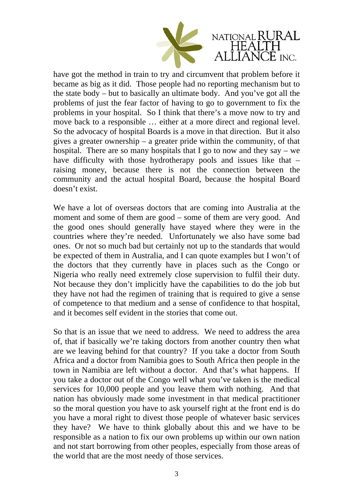

have got the method in train to try and circumvent that problem before it became as big as it did. Those people had no reporting mechanism but to the state body – but to basically an ultimate body. And you've got all the problems of just the fear factor of having to go to government to fix the problems in your hospital. So I think that there's a move now to try and move back to a responsible … either at a more direct and regional level. So the advocacy of hospital Boards is a move in that direction. But it also gives a greater ownership – a greater pride within the community, of that hospital. There are so many hospitals that I go to now and they say – we have difficulty with those hydrotherapy pools and issues like that – raising money, because there is not the connection between the community and the actual hospital Board, because the hospital Board doesn't exist.

We have a lot of overseas doctors that are coming into Australia at the moment and some of them are good – some of them are very good. And the good ones should generally have stayed where they were in the countries where they're needed. Unfortunately we also have some bad ones. Or not so much bad but certainly not up to the standards that would be expected of them in Australia, and I can quote examples but I won't of the doctors that they currently have in places such as the Congo or Nigeria who really need extremely close supervision to fulfil their duty. Not because they don't implicitly have the capabilities to do the job but they have not had the regimen of training that is required to give a sense of competence to that medium and a sense of confidence to that hospital, and it becomes self evident in the stories that come out.

So that is an issue that we need to address. We need to address the area of, that if basically we're taking doctors from another country then what are we leaving behind for that country? If you take a doctor from South Africa and a doctor from Namibia goes to South Africa then people in the town in Namibia are left without a doctor. And that's what happens. If you take a doctor out of the Congo well what you've taken is the medical services for 10,000 people and you leave them with nothing. And that nation has obviously made some investment in that medical practitioner so the moral question you have to ask yourself right at the front end is do you have a moral right to divest those people of whatever basic services they have? We have to think globally about this and we have to be responsible as a nation to fix our own problems up within our own nation and not start borrowing from other peoples, especially from those areas of the world that are the most needy of those services.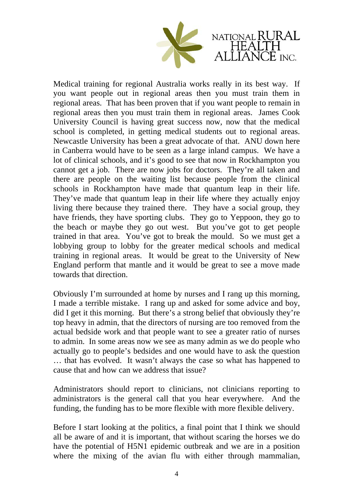

Medical training for regional Australia works really in its best way. If you want people out in regional areas then you must train them in regional areas. That has been proven that if you want people to remain in regional areas then you must train them in regional areas. James Cook University Council is having great success now, now that the medical school is completed, in getting medical students out to regional areas. Newcastle University has been a great advocate of that. ANU down here in Canberra would have to be seen as a large inland campus. We have a lot of clinical schools, and it's good to see that now in Rockhampton you cannot get a job. There are now jobs for doctors. They're all taken and there are people on the waiting list because people from the clinical schools in Rockhampton have made that quantum leap in their life. They've made that quantum leap in their life where they actually enjoy living there because they trained there. They have a social group, they have friends, they have sporting clubs. They go to Yeppoon, they go to the beach or maybe they go out west. But you've got to get people trained in that area. You've got to break the mould. So we must get a lobbying group to lobby for the greater medical schools and medical training in regional areas. It would be great to the University of New England perform that mantle and it would be great to see a move made towards that direction.

Obviously I'm surrounded at home by nurses and I rang up this morning, I made a terrible mistake. I rang up and asked for some advice and boy, did I get it this morning. But there's a strong belief that obviously they're top heavy in admin, that the directors of nursing are too removed from the actual bedside work and that people want to see a greater ratio of nurses to admin. In some areas now we see as many admin as we do people who actually go to people's bedsides and one would have to ask the question … that has evolved. It wasn't always the case so what has happened to cause that and how can we address that issue?

Administrators should report to clinicians, not clinicians reporting to administrators is the general call that you hear everywhere. And the funding, the funding has to be more flexible with more flexible delivery.

Before I start looking at the politics, a final point that I think we should all be aware of and it is important, that without scaring the horses we do have the potential of H5N1 epidemic outbreak and we are in a position where the mixing of the avian flu with either through mammalian,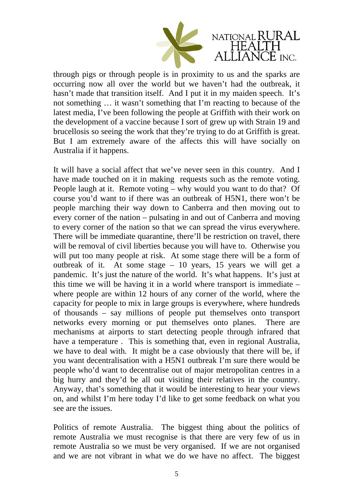

through pigs or through people is in proximity to us and the sparks are occurring now all over the world but we haven't had the outbreak, it hasn't made that transition itself. And I put it in my maiden speech. It's not something … it wasn't something that I'm reacting to because of the latest media, I've been following the people at Griffith with their work on the development of a vaccine because I sort of grew up with Strain 19 and brucellosis so seeing the work that they're trying to do at Griffith is great. But I am extremely aware of the affects this will have socially on Australia if it happens.

It will have a social affect that we've never seen in this country. And I have made touched on it in making requests such as the remote voting. People laugh at it. Remote voting – why would you want to do that? Of course you'd want to if there was an outbreak of H5N1, there won't be people marching their way down to Canberra and then moving out to every corner of the nation – pulsating in and out of Canberra and moving to every corner of the nation so that we can spread the virus everywhere. There will be immediate quarantine, there'll be restriction on travel, there will be removal of civil liberties because you will have to. Otherwise you will put too many people at risk. At some stage there will be a form of outbreak of it. At some stage – 10 years, 15 years we will get a pandemic. It's just the nature of the world. It's what happens. It's just at this time we will be having it in a world where transport is immediate – where people are within 12 hours of any corner of the world, where the capacity for people to mix in large groups is everywhere, where hundreds of thousands – say millions of people put themselves onto transport networks every morning or put themselves onto planes. There are mechanisms at airports to start detecting people through infrared that have a temperature . This is something that, even in regional Australia, we have to deal with. It might be a case obviously that there will be, if you want decentralisation with a H5N1 outbreak I'm sure there would be people who'd want to decentralise out of major metropolitan centres in a big hurry and they'd be all out visiting their relatives in the country. Anyway, that's something that it would be interesting to hear your views on, and whilst I'm here today I'd like to get some feedback on what you see are the issues.

Politics of remote Australia. The biggest thing about the politics of remote Australia we must recognise is that there are very few of us in remote Australia so we must be very organised. If we are not organised and we are not vibrant in what we do we have no affect. The biggest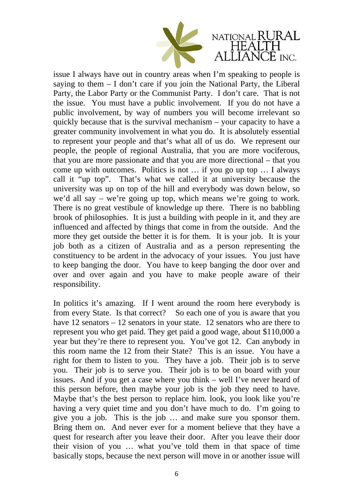

issue I always have out in country areas when I'm speaking to people is saying to them  $- I$  don't care if you join the National Party, the Liberal Party, the Labor Party or the Communist Party. I don't care. That is not the issue. You must have a public involvement. If you do not have a public involvement, by way of numbers you will become irrelevant so quickly because that is the survival mechanism – your capacity to have a greater community involvement in what you do. It is absolutely essential to represent your people and that's what all of us do. We represent our people, the people of regional Australia, that you are more vociferous, that you are more passionate and that you are more directional – that you come up with outcomes. Politics is not … if you go up top … I always call it "up top". That's what we called it at university because the university was up on top of the hill and everybody was down below, so we'd all say – we're going up top, which means we're going to work. There is no great vestibule of knowledge up there. There is no babbling brook of philosophies. It is just a building with people in it, and they are influenced and affected by things that come in from the outside. And the more they get outside the better it is for them. It is your job. It is your job both as a citizen of Australia and as a person representing the constituency to be ardent in the advocacy of your issues. You just have to keep banging the door. You have to keep banging the door over and over and over again and you have to make people aware of their responsibility.

In politics it's amazing. If I went around the room here everybody is from every State. Is that correct? So each one of you is aware that you have 12 senators – 12 senators in your state. 12 senators who are there to represent you who get paid. They get paid a good wage, about \$110,000 a year but they're there to represent you. You've got 12. Can anybody in this room name the 12 from their State? This is an issue. You have a right for them to listen to you. They have a job. Their job is to serve you. Their job is to serve you. Their job is to be on board with your issues. And if you get a case where you think – well I've never heard of this person before, then maybe your job is the job they need to have. Maybe that's the best person to replace him. look, you look like you're having a very quiet time and you don't have much to do. I'm going to give you a job. This is the job … and make sure you sponsor them. Bring them on. And never ever for a moment believe that they have a quest for research after you leave their door. After you leave their door their vision of you … what you've told them in that space of time basically stops, because the next person will move in or another issue will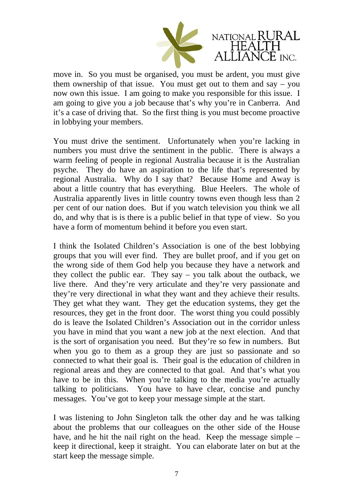

move in. So you must be organised, you must be ardent, you must give them ownership of that issue. You must get out to them and say – you now own this issue. I am going to make you responsible for this issue. I am going to give you a job because that's why you're in Canberra. And it's a case of driving that. So the first thing is you must become proactive in lobbying your members.

You must drive the sentiment. Unfortunately when you're lacking in numbers you must drive the sentiment in the public. There is always a warm feeling of people in regional Australia because it is the Australian psyche. They do have an aspiration to the life that's represented by regional Australia. Why do I say that? Because Home and Away is about a little country that has everything. Blue Heelers. The whole of Australia apparently lives in little country towns even though less than 2 per cent of our nation does. But if you watch television you think we all do, and why that is is there is a public belief in that type of view. So you have a form of momentum behind it before you even start.

I think the Isolated Children's Association is one of the best lobbying groups that you will ever find. They are bullet proof, and if you get on the wrong side of them God help you because they have a network and they collect the public ear. They say – you talk about the outback, we live there. And they're very articulate and they're very passionate and they're very directional in what they want and they achieve their results. They get what they want. They get the education systems, they get the resources, they get in the front door. The worst thing you could possibly do is leave the Isolated Children's Association out in the corridor unless you have in mind that you want a new job at the next election. And that is the sort of organisation you need. But they're so few in numbers. But when you go to them as a group they are just so passionate and so connected to what their goal is. Their goal is the education of children in regional areas and they are connected to that goal. And that's what you have to be in this. When you're talking to the media you're actually talking to politicians. You have to have clear, concise and punchy messages. You've got to keep your message simple at the start.

I was listening to John Singleton talk the other day and he was talking about the problems that our colleagues on the other side of the House have, and he hit the nail right on the head. Keep the message simple – keep it directional, keep it straight. You can elaborate later on but at the start keep the message simple.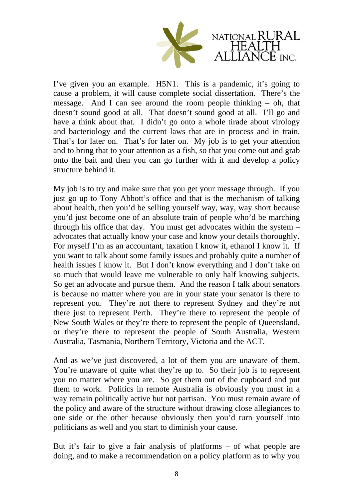

I've given you an example. H5N1. This is a pandemic, it's going to cause a problem, it will cause complete social dissertation. There's the message. And I can see around the room people thinking – oh, that doesn't sound good at all. That doesn't sound good at all. I'll go and have a think about that. I didn't go onto a whole tirade about virology and bacteriology and the current laws that are in process and in train. That's for later on. That's for later on. My job is to get your attention and to bring that to your attention as a fish, so that you come out and grab onto the bait and then you can go further with it and develop a policy structure behind it.

My job is to try and make sure that you get your message through. If you just go up to Tony Abbott's office and that is the mechanism of talking about health, then you'd be selling yourself way, way, way short because you'd just become one of an absolute train of people who'd be marching through his office that day. You must get advocates within the system – advocates that actually know your case and know your details thoroughly. For myself I'm as an accountant, taxation I know it, ethanol I know it. If you want to talk about some family issues and probably quite a number of health issues I know it. But I don't know everything and I don't take on so much that would leave me vulnerable to only half knowing subjects. So get an advocate and pursue them. And the reason I talk about senators is because no matter where you are in your state your senator is there to represent you. They're not there to represent Sydney and they're not there just to represent Perth. They're there to represent the people of New South Wales or they're there to represent the people of Queensland, or they're there to represent the people of South Australia, Western Australia, Tasmania, Northern Territory, Victoria and the ACT.

And as we've just discovered, a lot of them you are unaware of them. You're unaware of quite what they're up to. So their job is to represent you no matter where you are. So get them out of the cupboard and put them to work. Politics in remote Australia is obviously you must in a way remain politically active but not partisan. You must remain aware of the policy and aware of the structure without drawing close allegiances to one side or the other because obviously then you'd turn yourself into politicians as well and you start to diminish your cause.

But it's fair to give a fair analysis of platforms – of what people are doing, and to make a recommendation on a policy platform as to why you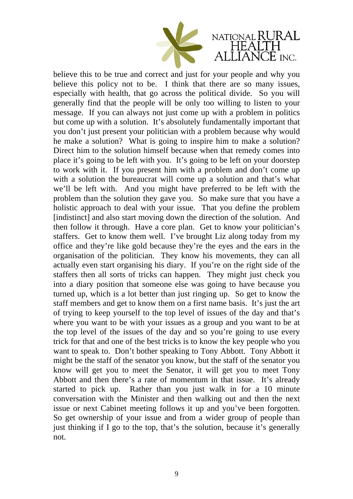

believe this to be true and correct and just for your people and why you believe this policy not to be. I think that there are so many issues, especially with health, that go across the political divide. So you will generally find that the people will be only too willing to listen to your message. If you can always not just come up with a problem in politics but come up with a solution. It's absolutely fundamentally important that you don't just present your politician with a problem because why would he make a solution? What is going to inspire him to make a solution? Direct him to the solution himself because when that remedy comes into place it's going to be left with you. It's going to be left on your doorstep to work with it. If you present him with a problem and don't come up with a solution the bureaucrat will come up a solution and that's what we'll be left with. And you might have preferred to be left with the problem than the solution they gave you. So make sure that you have a holistic approach to deal with your issue. That you define the problem [indistinct] and also start moving down the direction of the solution. And then follow it through. Have a core plan. Get to know your politician's staffers. Get to know them well. I've brought Liz along today from my office and they're like gold because they're the eyes and the ears in the organisation of the politician. They know his movements, they can all actually even start organising his diary. If you're on the right side of the staffers then all sorts of tricks can happen. They might just check you into a diary position that someone else was going to have because you turned up, which is a lot better than just ringing up. So get to know the staff members and get to know them on a first name basis. It's just the art of trying to keep yourself to the top level of issues of the day and that's where you want to be with your issues as a group and you want to be at the top level of the issues of the day and so you're going to use every trick for that and one of the best tricks is to know the key people who you want to speak to. Don't bother speaking to Tony Abbott. Tony Abbott it might be the staff of the senator you know, but the staff of the senator you know will get you to meet the Senator, it will get you to meet Tony Abbott and then there's a rate of momentum in that issue. It's already started to pick up. Rather than you just walk in for a 10 minute conversation with the Minister and then walking out and then the next issue or next Cabinet meeting follows it up and you've been forgotten. So get ownership of your issue and from a wider group of people than just thinking if I go to the top, that's the solution, because it's generally not.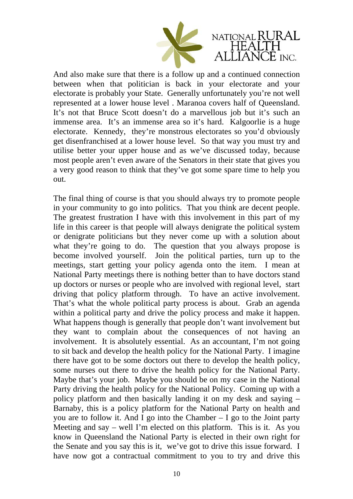

And also make sure that there is a follow up and a continued connection between when that politician is back in your electorate and your electorate is probably your State. Generally unfortunately you're not well represented at a lower house level . Maranoa covers half of Queensland. It's not that Bruce Scott doesn't do a marvellous job but it's such an immense area. It's an immense area so it's hard. Kalgoorlie is a huge electorate. Kennedy, they're monstrous electorates so you'd obviously get disenfranchised at a lower house level. So that way you must try and utilise better your upper house and as we've discussed today, because most people aren't even aware of the Senators in their state that gives you a very good reason to think that they've got some spare time to help you out.

The final thing of course is that you should always try to promote people in your community to go into politics. That you think are decent people. The greatest frustration I have with this involvement in this part of my life in this career is that people will always denigrate the political system or denigrate politicians but they never come up with a solution about what they're going to do. The question that you always propose is become involved yourself. Join the political parties, turn up to the meetings, start getting your policy agenda onto the item. I mean at National Party meetings there is nothing better than to have doctors stand up doctors or nurses or people who are involved with regional level, start driving that policy platform through. To have an active involvement. That's what the whole political party process is about. Grab an agenda within a political party and drive the policy process and make it happen. What happens though is generally that people don't want involvement but they want to complain about the consequences of not having an involvement. It is absolutely essential. As an accountant, I'm not going to sit back and develop the health policy for the National Party. I imagine there have got to be some doctors out there to develop the health policy, some nurses out there to drive the health policy for the National Party. Maybe that's your job. Maybe you should be on my case in the National Party driving the health policy for the National Policy. Coming up with a policy platform and then basically landing it on my desk and saying – Barnaby, this is a policy platform for the National Party on health and you are to follow it. And I go into the Chamber – I go to the Joint party Meeting and say – well I'm elected on this platform. This is it. As you know in Queensland the National Party is elected in their own right for the Senate and you say this is it, we've got to drive this issue forward. I have now got a contractual commitment to you to try and drive this